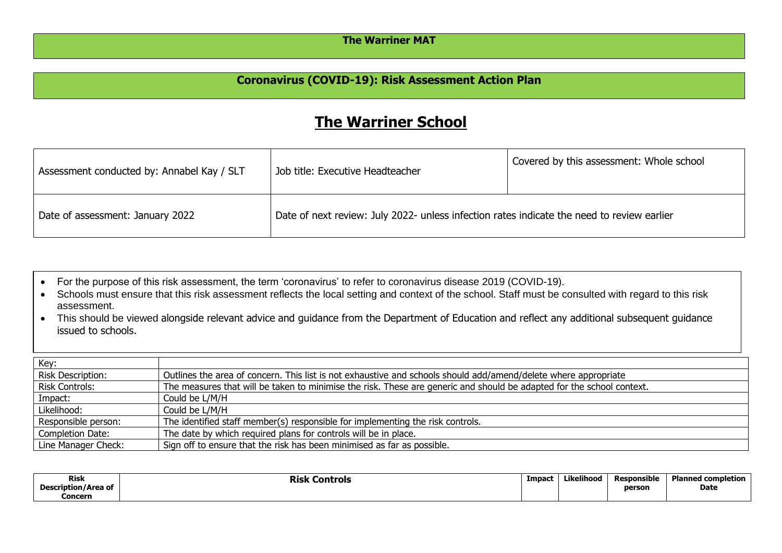## **The Warriner MAT**

## **Coronavirus (COVID-19): Risk Assessment Action Plan**

## **The Warriner School**

| Assessment conducted by: Annabel Kay / SLT | Job title: Executive Headteacher                                                           | Covered by this assessment: Whole school |  |  |  |
|--------------------------------------------|--------------------------------------------------------------------------------------------|------------------------------------------|--|--|--|
| Date of assessment: January 2022           | Date of next review: July 2022- unless infection rates indicate the need to review earlier |                                          |  |  |  |

- For the purpose of this risk assessment, the term 'coronavirus' to refer to coronavirus disease 2019 (COVID-19).
- Schools must ensure that this risk assessment reflects the local setting and context of the school. Staff must be consulted with regard to this risk assessment.
- This should be viewed alongside relevant advice and guidance from the Department of Education and reflect any additional subsequent guidance issued to schools.

| Key:                     |                                                                                                                       |
|--------------------------|-----------------------------------------------------------------------------------------------------------------------|
| <b>Risk Description:</b> | Outlines the area of concern. This list is not exhaustive and schools should add/amend/delete where appropriate       |
| <b>Risk Controls:</b>    | The measures that will be taken to minimise the risk. These are generic and should be adapted for the school context. |
| Impact:                  | Could be L/M/H                                                                                                        |
| Likelihood:              | Could be L/M/H                                                                                                        |
| Responsible person:      | The identified staff member(s) responsible for implementing the risk controls.                                        |
| <b>Completion Date:</b>  | The date by which required plans for controls will be in place.                                                       |
| Line Manager Check:      | Sign off to ensure that the risk has been minimised as far as possible.                                               |

| <b>Risk</b>         | Controls<br>Risk | Impaci | Likelihood<br>. | .<br>Responsible | Planneg<br>completion |
|---------------------|------------------|--------|-----------------|------------------|-----------------------|
| Description/Area of |                  |        |                 | person           | Date                  |
| Concern             |                  |        |                 |                  |                       |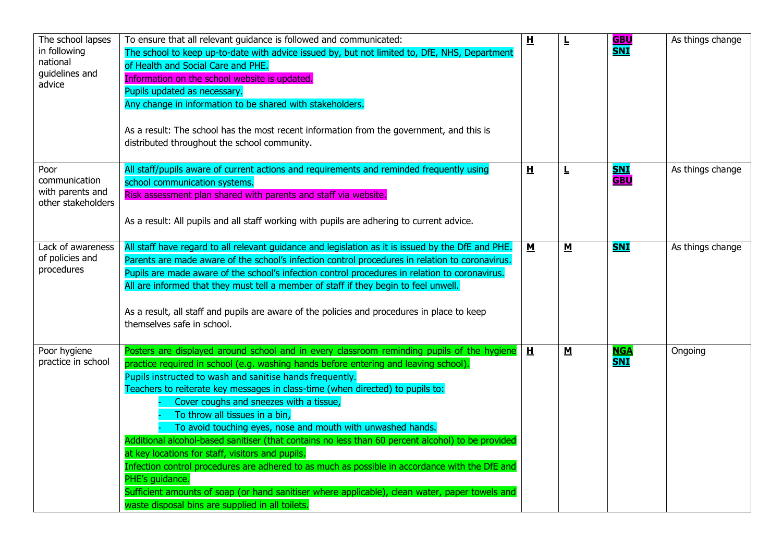| The school lapses<br>in following<br>national<br>guidelines and<br>advice | To ensure that all relevant guidance is followed and communicated:<br>The school to keep up-to-date with advice issued by, but not limited to, DfE, NHS, Department<br>of Health and Social Care and PHE.<br>Information on the school website is updated.<br>Pupils updated as necessary.<br>Any change in information to be shared with stakeholders.<br>As a result: The school has the most recent information from the government, and this is<br>distributed throughout the school community.                                                                                                                                                                                                                                                                                                                                                                                                              | $\overline{H}$           | L                        | <u>GBU</u><br><b>SNI</b> | As things change |
|---------------------------------------------------------------------------|------------------------------------------------------------------------------------------------------------------------------------------------------------------------------------------------------------------------------------------------------------------------------------------------------------------------------------------------------------------------------------------------------------------------------------------------------------------------------------------------------------------------------------------------------------------------------------------------------------------------------------------------------------------------------------------------------------------------------------------------------------------------------------------------------------------------------------------------------------------------------------------------------------------|--------------------------|--------------------------|--------------------------|------------------|
| Poor<br>communication<br>with parents and<br>other stakeholders           | All staff/pupils aware of current actions and requirements and reminded frequently using<br>school communication systems.<br>Risk assessment plan shared with parents and staff via website.<br>As a result: All pupils and all staff working with pupils are adhering to current advice.                                                                                                                                                                                                                                                                                                                                                                                                                                                                                                                                                                                                                        | H                        | L                        | <b>SNI</b><br><b>GBU</b> | As things change |
| Lack of awareness<br>of policies and<br>procedures                        | All staff have regard to all relevant guidance and legislation as it is issued by the DfE and PHE.<br>Parents are made aware of the school's infection control procedures in relation to coronavirus.<br>Pupils are made aware of the school's infection control procedures in relation to coronavirus.<br>All are informed that they must tell a member of staff if they begin to feel unwell.<br>As a result, all staff and pupils are aware of the policies and procedures in place to keep<br>themselves safe in school.                                                                                                                                                                                                                                                                                                                                                                                     | $\underline{\mathsf{M}}$ | $\underline{\mathbf{M}}$ | <b>SNI</b>               | As things change |
| Poor hygiene<br>practice in school                                        | Posters are displayed around school and in every classroom reminding pupils of the hygiene<br>practice required in school (e.g. washing hands before entering and leaving school).<br>Pupils instructed to wash and sanitise hands frequently.<br>Teachers to reiterate key messages in class-time (when directed) to pupils to:<br>Cover coughs and sneezes with a tissue,<br>To throw all tissues in a bin,<br>To avoid touching eyes, nose and mouth with unwashed hands.<br>Additional alcohol-based sanitiser (that contains no less than 60 percent alcohol) to be provided<br>at key locations for staff, visitors and pupils.<br>Infection control procedures are adhered to as much as possible in accordance with the DfE and<br>PHE's guidance.<br>Sufficient amounts of soap (or hand sanitiser where applicable), clean water, paper towels and<br>waste disposal bins are supplied in all toilets. | H                        | $\underline{\mathsf{M}}$ | <u>NGA</u><br><b>SNI</b> | Ongoing          |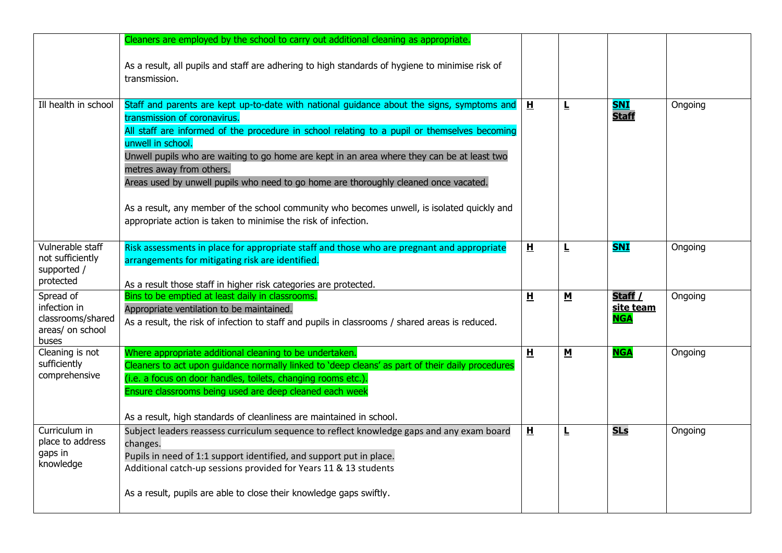|                                                                             | Cleaners are employed by the school to carry out additional cleaning as appropriate.                                                                                                                                                                                                                                                                                                                                                                                                                                                                                                                                                |                         |                          |                                    |         |
|-----------------------------------------------------------------------------|-------------------------------------------------------------------------------------------------------------------------------------------------------------------------------------------------------------------------------------------------------------------------------------------------------------------------------------------------------------------------------------------------------------------------------------------------------------------------------------------------------------------------------------------------------------------------------------------------------------------------------------|-------------------------|--------------------------|------------------------------------|---------|
|                                                                             | As a result, all pupils and staff are adhering to high standards of hygiene to minimise risk of<br>transmission.                                                                                                                                                                                                                                                                                                                                                                                                                                                                                                                    |                         |                          |                                    |         |
| Ill health in school                                                        | Staff and parents are kept up-to-date with national guidance about the signs, symptoms and<br>transmission of coronavirus.<br>All staff are informed of the procedure in school relating to a pupil or themselves becoming<br>unwell in school.<br>Unwell pupils who are waiting to go home are kept in an area where they can be at least two<br>metres away from others.<br>Areas used by unwell pupils who need to go home are thoroughly cleaned once vacated.<br>As a result, any member of the school community who becomes unwell, is isolated quickly and<br>appropriate action is taken to minimise the risk of infection. | H                       | L                        | <b>SNI</b><br><b>Staff</b>         | Ongoing |
| Vulnerable staff<br>not sufficiently<br>supported /<br>protected            | Risk assessments in place for appropriate staff and those who are pregnant and appropriate<br>arrangements for mitigating risk are identified.<br>As a result those staff in higher risk categories are protected.                                                                                                                                                                                                                                                                                                                                                                                                                  | H                       | L                        | <b>SNI</b>                         | Ongoing |
| Spread of<br>infection in<br>classrooms/shared<br>areas/ on school<br>buses | Bins to be emptied at least daily in classrooms.<br>Appropriate ventilation to be maintained.<br>As a result, the risk of infection to staff and pupils in classrooms / shared areas is reduced.                                                                                                                                                                                                                                                                                                                                                                                                                                    | $\overline{\mathbf{H}}$ | $\underline{\mathsf{M}}$ | Staff /<br>site team<br><b>NGA</b> | Ongoing |
| Cleaning is not<br>sufficiently<br>comprehensive                            | Where appropriate additional cleaning to be undertaken.<br>Cleaners to act upon guidance normally linked to 'deep cleans' as part of their daily procedures<br>(i.e. a focus on door handles, toilets, changing rooms etc.).<br>Ensure classrooms being used are deep cleaned each week<br>As a result, high standards of cleanliness are maintained in school.                                                                                                                                                                                                                                                                     | H                       | $\underline{\mathbf{M}}$ | <b>NGA</b>                         | Ongoing |
| Curriculum in<br>place to address<br>gaps in<br>knowledge                   | Subject leaders reassess curriculum sequence to reflect knowledge gaps and any exam board<br>changes.<br>Pupils in need of 1:1 support identified, and support put in place.<br>Additional catch-up sessions provided for Years 11 & 13 students<br>As a result, pupils are able to close their knowledge gaps swiftly.                                                                                                                                                                                                                                                                                                             | H                       | L                        | <b>SLs</b>                         | Ongoing |